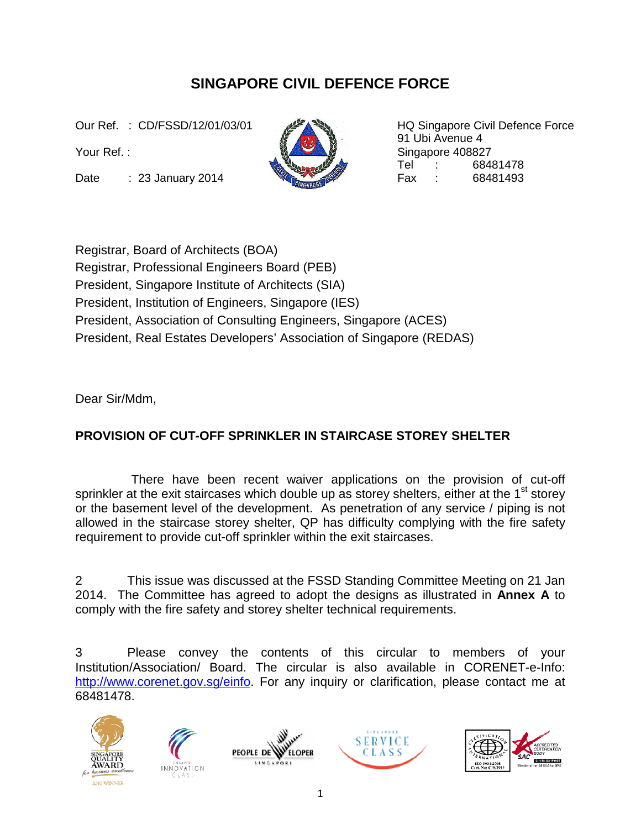## **SINGAPORE CIVIL DEFENCE FORCE**

Date : 23 January 2014 **Contract of Case Contract Contract Contract Contract Contract Contract Contract Contract Contract Contract Contract Contract Contract Contract Contract Contract Contract Contract Contract Contract C** 



Our Ref. : CD/FSSD/12/01/03/01 HQ Singapore Civil Defence Force 91 Ubi Avenue 4 Your Ref. : Singapore 408827 Tel : 68481478

Registrar, Board of Architects (BOA)

Registrar, Professional Engineers Board (PEB)

President, Singapore Institute of Architects (SIA)

President, Institution of Engineers, Singapore (IES)

President, Association of Consulting Engineers, Singapore (ACES)

President, Real Estates Developers' Association of Singapore (REDAS)

Dear Sir/Mdm,

## **PROVISION OF CUT-OFF SPRINKLER IN STAIRCASE STOREY SHELTER**

 There have been recent waiver applications on the provision of cut-off sprinkler at the exit staircases which double up as storey shelters, either at the  $1<sup>st</sup>$  storey or the basement level of the development. As penetration of any service / piping is not allowed in the staircase storey shelter, QP has difficulty complying with the fire safety requirement to provide cut-off sprinkler within the exit staircases.

2 This issue was discussed at the FSSD Standing Committee Meeting on 21 Jan 2014. The Committee has agreed to adopt the designs as illustrated in **Annex A** to comply with the fire safety and storey shelter technical requirements.

3 Please convey the contents of this circular to members of your Institution/Association/ Board. The circular is also available in CORENET-e-Info: [http://www.corenet.gov.sg/einfo](http://www.corenet.gov.sg/einfo.%20%20For)</u>. For any inquiry or clarification, please contact me at 68481478.









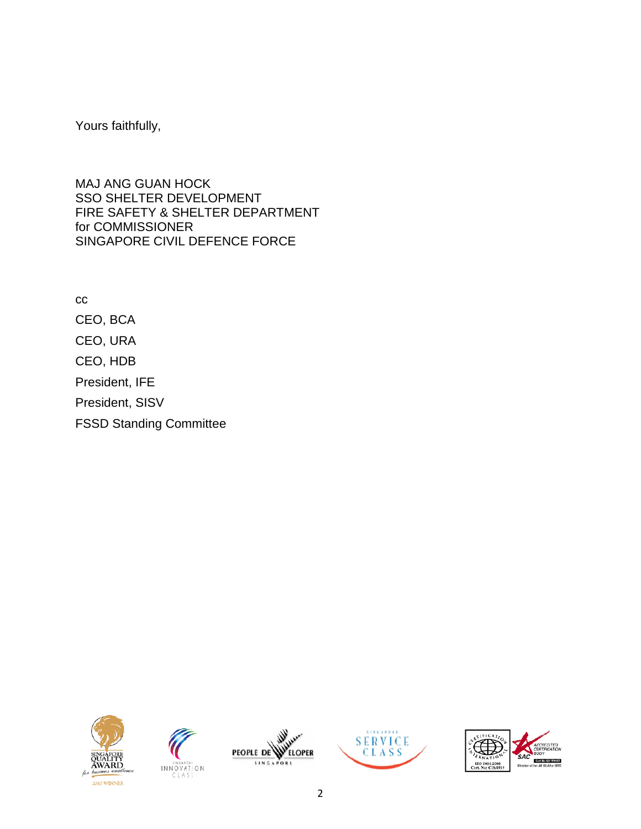Yours faithfully,

MAJ ANG GUAN HOCK SSO SHELTER DEVELOPMENT FIRE SAFETY & SHELTER DEPARTMENT for COMMISSIONER SINGAPORE CIVIL DEFENCE FORCE

cc CEO, BCA CEO, URA CEO, HDB President, IFE President, SISV FSSD Standing Committee